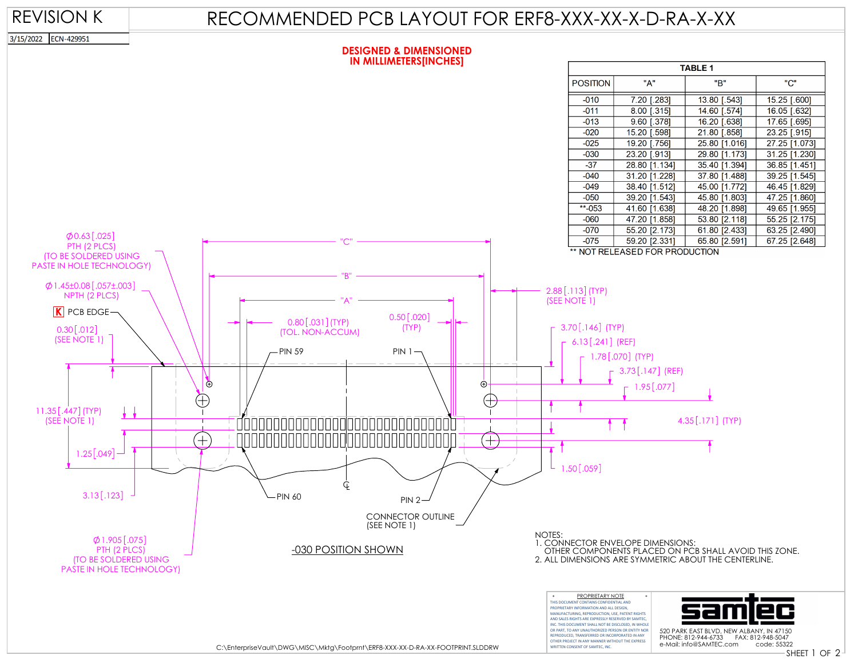### REVISION K

# RECOMMENDED PCB LAYOUT FOR ERF8-XXX-XX-X-D-RA-X-XX

3/15/2022 ECN-429951

#### **DESIGNED & DIMENSIONED IN MILLIMETERS[INCHES]**